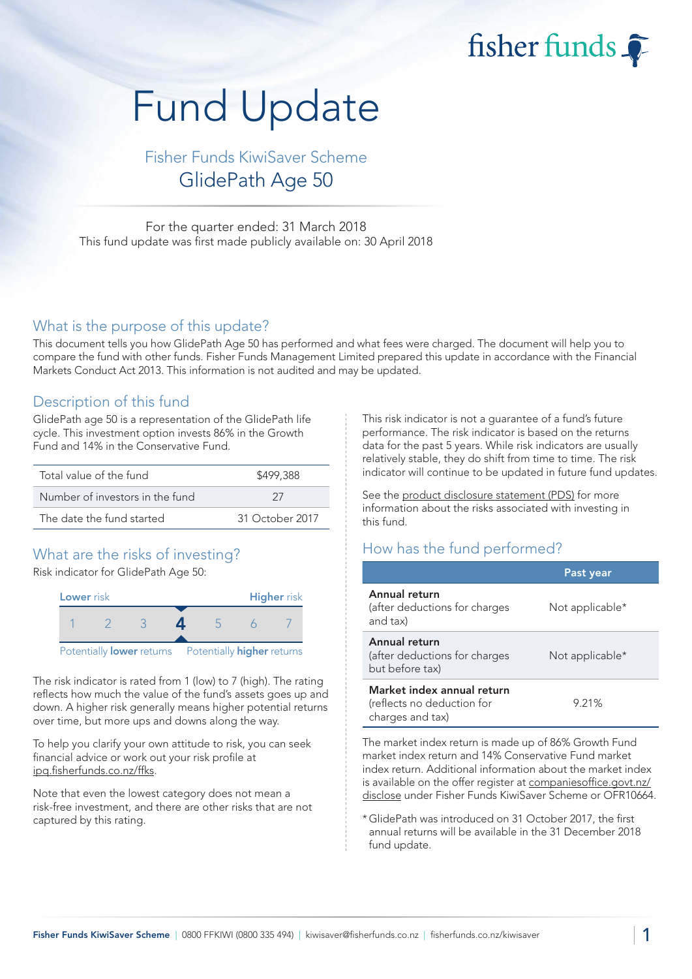fisher funds

# Fund Update

Fisher Funds KiwiSaver Scheme GlidePath Age 50

For the quarter ended: 31 March 2018 This fund update was first made publicly available on: 30 April 2018

#### What is the purpose of this update?

This document tells you how GlidePath Age 50 has performed and what fees were charged. The document will help you to compare the fund with other funds. Fisher Funds Management Limited prepared this update in accordance with the Financial Markets Conduct Act 2013. This information is not audited and may be updated.

### Description of this fund

GlidePath age 50 is a representation of the GlidePath life cycle. This investment option invests 86% in the Growth Fund and 14% in the Conservative Fund.

| Total value of the fund         | \$499,388       |  |  |
|---------------------------------|-----------------|--|--|
| Number of investors in the fund | -27             |  |  |
| The date the fund started       | 31 October 2017 |  |  |

## What are the risks of investing?

Risk indicator for GlidePath Age 50:



The risk indicator is rated from 1 (low) to 7 (high). The rating reflects how much the value of the fund's assets goes up and down. A higher risk generally means higher potential returns over time, but more ups and downs along the way.

To help you clarify your own attitude to risk, you can seek financial advice or work out your risk profile at [ipq.fisherfunds.co.nz/ffks.](https://ipq.fisherfunds.co.nz/ffks)

Note that even the lowest category does not mean a risk-free investment, and there are other risks that are not captured by this rating.

This risk indicator is not a guarantee of a fund's future performance. The risk indicator is based on the returns data for the past 5 years. While risk indicators are usually relatively stable, they do shift from time to time. The risk indicator will continue to be updated in future fund updates.

See the [product disclosure statement \(PDS\)](https://fisherfunds.co.nz/assets/PDS/Fisher-Funds-KiwiSaver-Scheme-PDS.pdf) for more information about the risks associated with investing in this fund.

## How has the fund performed?

|                                                                              | Past year       |
|------------------------------------------------------------------------------|-----------------|
| Annual return<br>(after deductions for charges<br>and tax)                   | Not applicable* |
| Annual return<br>(after deductions for charges<br>but before tax)            | Not applicable* |
| Market index annual return<br>(reflects no deduction for<br>charges and tax) | 9.21%           |

The market index return is made up of 86% Growth Fund market index return and 14% Conservative Fund market index return. Additional information about the market index is available on the offer register at [companiesoffice.govt.nz/](http://companiesoffice.govt.nz/disclose) [disclose](http://companiesoffice.govt.nz/disclose) under Fisher Funds KiwiSaver Scheme or OFR10664.

\*GlidePath was introduced on 31 October 2017, the first annual returns will be available in the 31 December 2018 fund update.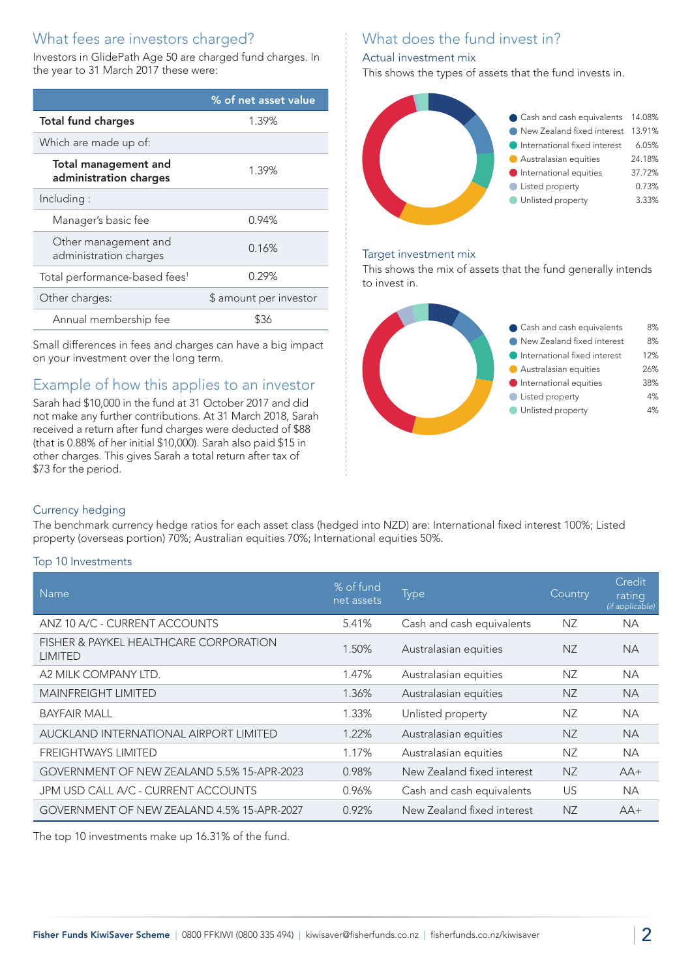## What fees are investors charged?

Investors in GlidePath Age 50 are charged fund charges. In the year to 31 March 2017 these were:

|                                                       | % of net asset value   |  |
|-------------------------------------------------------|------------------------|--|
| <b>Total fund charges</b>                             | 1.39%                  |  |
| Which are made up of:                                 |                        |  |
| <b>Total management and</b><br>administration charges | 1.39%                  |  |
| Including:                                            |                        |  |
| Manager's basic fee                                   | 0.94%                  |  |
| Other management and<br>administration charges        | 0.16%                  |  |
| Total performance-based fees <sup>1</sup>             | 0.29%                  |  |
| Other charges:                                        | \$ amount per investor |  |
| Annual membership fee                                 | \$36                   |  |

Small differences in fees and charges can have a big impact on your investment over the long term.

## Example of how this applies to an investor

Sarah had \$10,000 in the fund at 31 October 2017 and did not make any further contributions. At 31 March 2018, Sarah received a return after fund charges were deducted of \$88 (that is 0.88% of her initial \$10,000). Sarah also paid \$15 in other charges. This gives Sarah a total return after tax of \$73 for the period.

# What does the fund invest in?

#### Actual investment mix

This shows the types of assets that the fund invests in.



#### Target investment mix

This shows the mix of assets that the fund generally intends to invest in.



#### Currency hedging

The benchmark currency hedge ratios for each asset class (hedged into NZD) are: International fixed interest 100%; Listed property (overseas portion) 70%; Australian equities 70%; International equities 50%.

#### Top 10 Investments

| <b>Name</b>                                              | % of fund<br>net assets | <b>Type</b>                | Country   | <b>Credit</b><br>rating<br>(if applicable) |
|----------------------------------------------------------|-------------------------|----------------------------|-----------|--------------------------------------------|
| ANZ 10 A/C - CURRENT ACCOUNTS                            | 5.41%                   | Cash and cash equivalents  | NZ.       | <b>NA</b>                                  |
| FISHER & PAYKEL HEALTHCARE CORPORATION<br><b>LIMITED</b> | 1.50%                   | Australasian equities      | NZ        | <b>NA</b>                                  |
| A2 MILK COMPANY LTD.                                     | 1.47%                   | Australasian equities      | NZ        | <b>NA</b>                                  |
| <b>MAINFREIGHT LIMITED</b>                               | 1.36%                   | Australasian equities      | <b>NZ</b> | <b>NA</b>                                  |
| <b>BAYFAIR MALL</b>                                      | 1.33%                   | Unlisted property          | NZ.       | NA.                                        |
| AUCKLAND INTERNATIONAL AIRPORT LIMITED                   | 1.22%                   | Australasian equities      | <b>NZ</b> | <b>NA</b>                                  |
| <b>FREIGHTWAYS LIMITED</b>                               | 1.17%                   | Australasian equities      | NZ.       | <b>NA</b>                                  |
| GOVERNMENT OF NEW ZEALAND 5.5% 15-APR-2023               | 0.98%                   | New Zealand fixed interest | <b>NZ</b> | $AA+$                                      |
| JPM USD CALL A/C - CURRENT ACCOUNTS                      | 0.96%                   | Cash and cash equivalents  | US        | <b>NA</b>                                  |
| GOVERNMENT OF NEW ZEALAND 4.5% 15-APR-2027               | 0.92%                   | New Zealand fixed interest | <b>NZ</b> | $AA+$                                      |

The top 10 investments make up 16.31% of the fund.